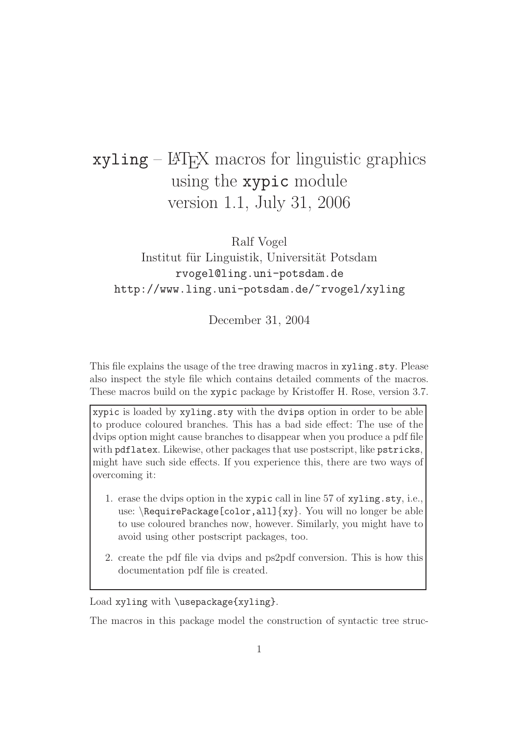# $xyling - \angle FFX$  macros for linguistic graphics using the xypic module version 1.1, July 31, 2006

Ralf Vogel

### Institut für Linguistik, Universität Potsdam rvogel@ling.uni-potsdam.de http://www.ling.uni-potsdam.de/~rvogel/xyling

December 31, 2004

This file explains the usage of the tree drawing macros in xyling.sty. Please also inspect the style file which contains detailed comments of the macros. These macros build on the xypic package by Kristoffer H. Rose, version 3.7.

xypic is loaded by xyling.sty with the dvips option in order to be able to produce coloured branches. This has a bad side effect: The use of the dvips option might cause branches to disappear when you produce a pdf file with pdflatex. Likewise, other packages that use postscript, like pstricks, might have such side effects. If you experience this, there are two ways of overcoming it:

- 1. erase the dvips option in the xypic call in line 57 of xyling.sty, i.e., use:  $\Re$  RequirePackage[color,all] $\{xy\}$ . You will no longer be able to use coloured branches now, however. Similarly, you might have to avoid using other postscript packages, too.
- 2. create the pdf file via dvips and ps2pdf conversion. This is how this documentation pdf file is created.

Load xyling with \usepackage{xyling}.

The macros in this package model the construction of syntactic tree struc-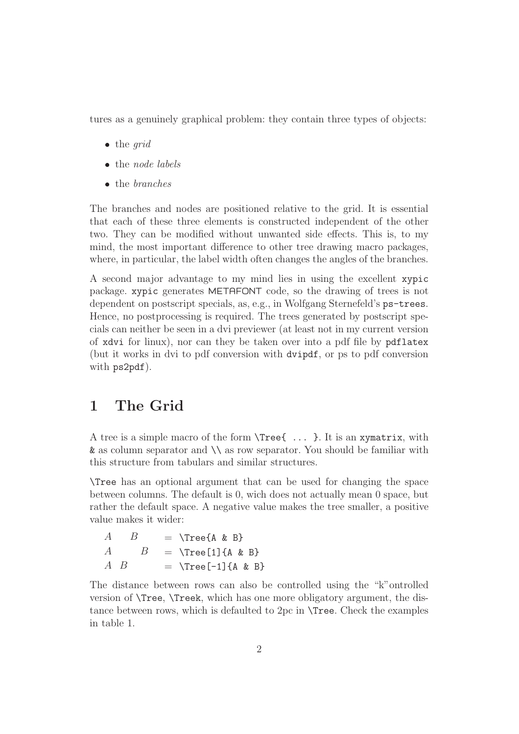tures as a genuinely graphical problem: they contain three types of objects:

- $\bullet$  the grid
- the *node labels*
- the branches

The branches and nodes are positioned relative to the grid. It is essential that each of these three elements is constructed independent of the other two. They can be modified without unwanted side effects. This is, to my mind, the most important difference to other tree drawing macro packages, where, in particular, the label width often changes the angles of the branches.

A second major advantage to my mind lies in using the excellent xypic package. xypic generates METAFONT code, so the drawing of trees is not dependent on postscript specials, as, e.g., in Wolfgang Sternefeld's ps-trees. Hence, no postprocessing is required. The trees generated by postscript specials can neither be seen in a dvi previewer (at least not in my current version of xdvi for linux), nor can they be taken over into a pdf file by pdflatex (but it works in dvi to pdf conversion with dvipdf, or ps to pdf conversion with ps2pdf).

### 1 The Grid

A tree is a simple macro of the form \Tree{ ... }. It is an xymatrix, with & as column separator and \\ as row separator. You should be familiar with this structure from tabulars and similar structures.

\Tree has an optional argument that can be used for changing the space between columns. The default is 0, wich does not actually mean 0 space, but rather the default space. A negative value makes the tree smaller, a positive value makes it wider:

| A           | $\boldsymbol{\kappa}$ | $=$ $\{A \& B\}$               |
|-------------|-----------------------|--------------------------------|
|             | $A \qquad B$          | $=$ $\Ttext{ree}[1]\{A \& B\}$ |
| $A \cdot B$ |                       | $=$ $\Tree[-1]{A & B}$         |

The distance between rows can also be controlled using the "k"ontrolled version of \Tree, \Treek, which has one more obligatory argument, the distance between rows, which is defaulted to 2pc in \Tree. Check the examples in table 1.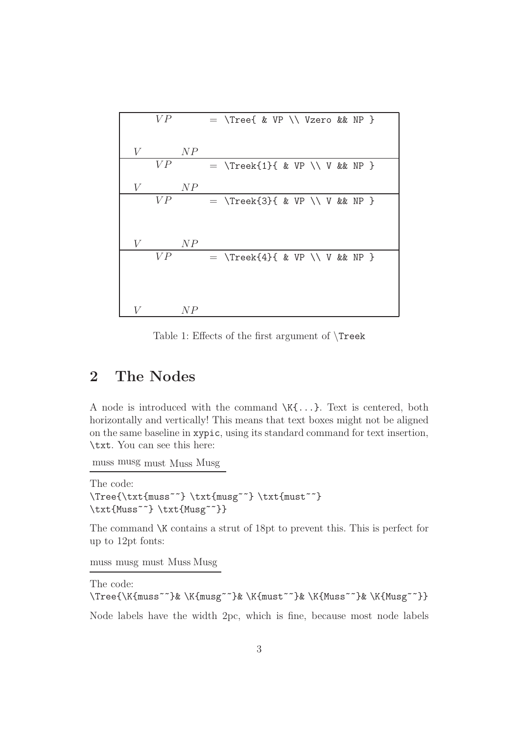|   | V P |     | $=$ \Tree{ & VP \\ Vzero && NP }  |  |  |  |
|---|-----|-----|-----------------------------------|--|--|--|
| V |     | N P |                                   |  |  |  |
|   | V P |     | $=$ \Treek{1}{ & VP \\ V & & NP } |  |  |  |
| V |     | NP  |                                   |  |  |  |
|   | V P |     | $=$ \Treek{3}{ & VP \\ V & & NP } |  |  |  |
|   |     |     |                                   |  |  |  |
| V |     | N P |                                   |  |  |  |
|   | VP  |     | $=$ \Treek{4}{ & VP \\ V & & NP } |  |  |  |
|   |     |     |                                   |  |  |  |
|   |     |     |                                   |  |  |  |
| V |     | N P |                                   |  |  |  |

Table 1: Effects of the first argument of \Treek

### 2 The Nodes

A node is introduced with the command \K{...}. Text is centered, both horizontally and vertically! This means that text boxes might not be aligned on the same baseline in xypic, using its standard command for text insertion, \txt. You can see this here:

muss musg must Muss Musg

The code: \Tree{\txt{muss~~} \txt{musg~~} \txt{must~~} \txt{Muss~~} \txt{Musg~~}}

The command \K contains a strut of 18pt to prevent this. This is perfect for up to 12pt fonts:

muss musg must Muss Musg

The code: \Tree{\K{muss~~}& \K{musg~~}& \K{must~~}& \K{Muss~~}& \K{Musg~~}} Node labels have the width 2pc, which is fine, because most node labels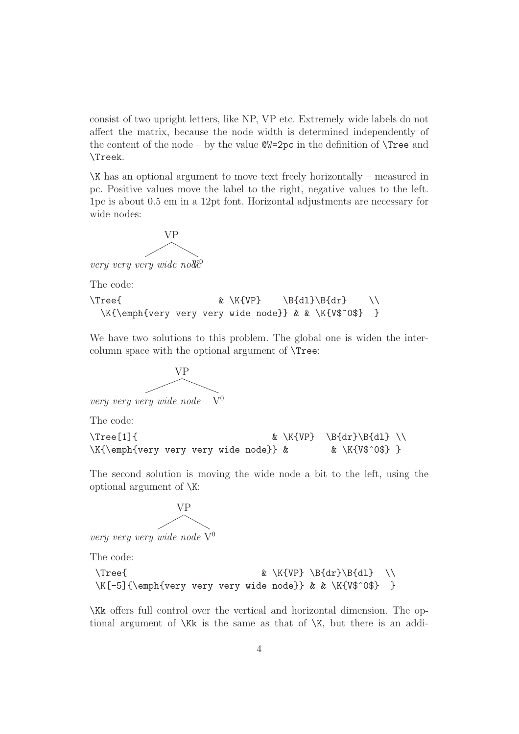consist of two upright letters, like NP, VP etc. Extremely wide labels do not affect the matrix, because the node width is determined independently of the content of the node – by the value  $\mathbb{Q}V=2pc$  in the definition of  $\Gamma$ ree and \Treek.

\K has an optional argument to move text freely horizontally – measured in pc. Positive values move the label to the right, negative values to the left. 1pc is about 0.5 em in a 12pt font. Horizontal adjustments are necessary for wide nodes:

$$
\overbrace{\qquad \qquad }^{VP}
$$

very very very wide  $no\ddot{\theta}^0$ 

The code:

```
\Tree{ \& \K{VP} \quad \B{d1}\B{dr} \quad \b\}\K{\emph{very very very wide node}} & & \K{V$^0$} }
```
We have two solutions to this problem. The global one is widen the intercolumn space with the optional argument of \Tree:



The code:

```
\Tree[1]{ \& \K{VP} \B{dr}{B{dl}} \ \\}\K{\emph{very very very wide node}} & & \K{V$^0$} }
```
The second solution is moving the wide node a bit to the left, using the optional argument of \K:



very very very wide node  $\widehat{V}^0$ 

The code:

```
\Tree{ \& \ \k\ \W{VP} \ \B{dr}\B{dl} \ \\}\K[-5]{\emph{very very very wide node}} & & \K{V$^0$} }
```
\Kk offers full control over the vertical and horizontal dimension. The optional argument of  $\{KK\}$  is the same as that of  $\{K\}$ , but there is an addi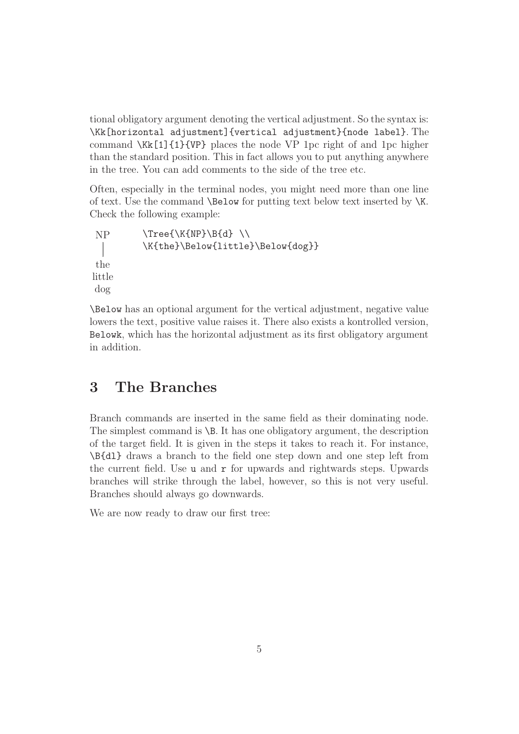tional obligatory argument denoting the vertical adjustment. So the syntax is: \Kk[horizontal adjustment]{vertical adjustment}{node label}. The command \Kk[1]{1}{VP} places the node VP 1pc right of and 1pc higher than the standard position. This in fact allows you to put anything anywhere in the tree. You can add comments to the side of the tree etc.

Often, especially in the terminal nodes, you might need more than one line of text. Use the command **\Below** for putting text below text inserted by  $\mathsf{K}$ . Check the following example:

```
NP
the
little
dog
          \Tree{\K{NP}\B{d} \ \ \ \\K{the}\Below{little}\Below{dog}}
```
\Below has an optional argument for the vertical adjustment, negative value lowers the text, positive value raises it. There also exists a kontrolled version, Belowk, which has the horizontal adjustment as its first obligatory argument in addition.

### 3 The Branches

Branch commands are inserted in the same field as their dominating node. The simplest command is  $\Bbb B$ . It has one obligatory argument, the description of the target field. It is given in the steps it takes to reach it. For instance, \B{dl} draws a branch to the field one step down and one step left from the current field. Use u and r for upwards and rightwards steps. Upwards branches will strike through the label, however, so this is not very useful. Branches should always go downwards.

We are now ready to draw our first tree: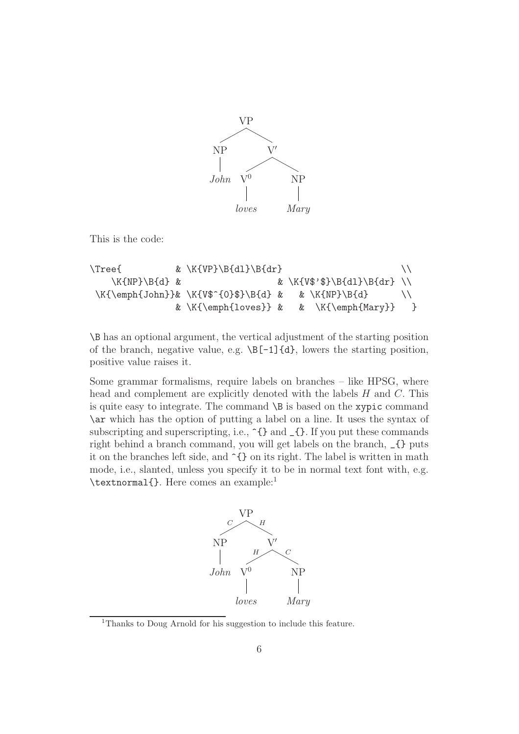

This is the code:

```
\{Tree\} & \K{VP}\B{dl}\B{dr}\K{NP}\B{d} & & \K{V$'$}\B{dl}\B{dr} \\
\K{\emptyset} \K{\emph{John}}& \K{V$^{0}$}\B{d} & & \K{NP}\B{d} \\
            & \K{\emptyset} & \K{\emptyset}
```
\B has an optional argument, the vertical adjustment of the starting position of the branch, negative value, e.g.  $\Bbb E[-1]\{d\}$ , lowers the starting position, positive value raises it.

Some grammar formalisms, require labels on branches – like HPSG, where head and complement are explicitly denoted with the labels H and C. This is quite easy to integrate. The command  $\Bbb B$  is based on the xypic command \ar which has the option of putting a label on a line. It uses the syntax of subscripting and superscripting, i.e.,  $\hat{\cdot}$  and  $_{\hat{\cdot}}$ . If you put these commands right behind a branch command, you will get labels on the branch, \_{} puts it on the branches left side, and ^{} on its right. The label is written in math mode, i.e., slanted, unless you specify it to be in normal text font with, e.g. \textnormal{}. Here comes an example:<sup>1</sup>



<sup>1</sup>Thanks to Doug Arnold for his suggestion to include this feature.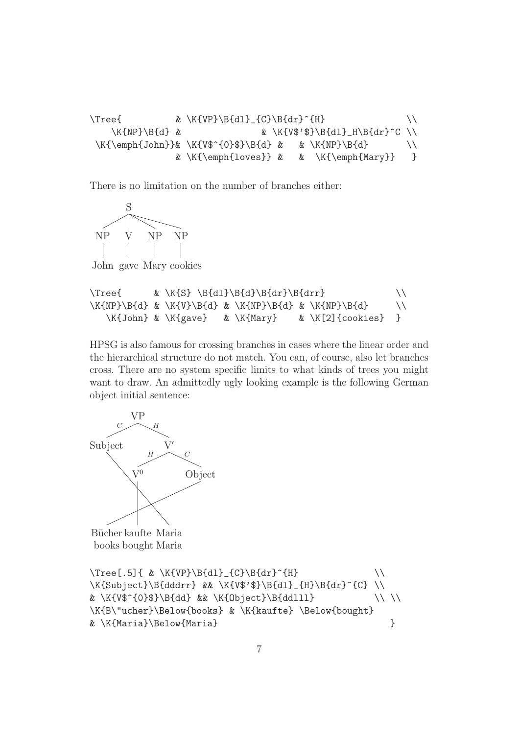```
\{Tree\} & \K{VP}\B{dl}_{C}\B{dr} ^{H} \\
   \K{NP}\B{d} & \K{V$'$}\B{dl}_H\B{dr}^C \\
\K{\emptyset} \K{\emph{John}}& \K{V$^{0}$}\B{d} & & \K{NP}\B{d} \\
            & K{\emptyset} & K{\emptyset} }
```
There is no limitation on the number of branches either:



John gave Mary cookies

```
\Tree{ & \K{S} \B{dl}\B{d}\B{dr}\B{drr} \\
\K{NP}\B{d} & \K{V}\B{d} & \K{NP}\B{d} & \K{NP}\B{d} \\
  \K{John} & \K{gave} & \K{Mary} & \K[2]{cookies} }
```
HPSG is also famous for crossing branches in cases where the linear order and the hierarchical structure do not match. You can, of course, also let branches cross. There are no system specific limits to what kinds of trees you might want to draw. An admittedly ugly looking example is the following German object initial sentence:



Bücher kaufte Maria books bought Maria

```
\Tree[ .5] { & \K{VP}\B{dl}_{C}\B{dr}^{H}\K{Subject}\B{dddrr} && \K{V$'$}\B{dl}_{H}\B{dr}^{C} \\
\& \ \k\ \W{V$^{\{0\}}\B{dd} \& \ \K{0\} \R{ddlll} \\ \\
\K{B\"ucher}\Below{books} & \K{kaufte} \Below{bought}
& \K{Maria}\Below{Maria} }
```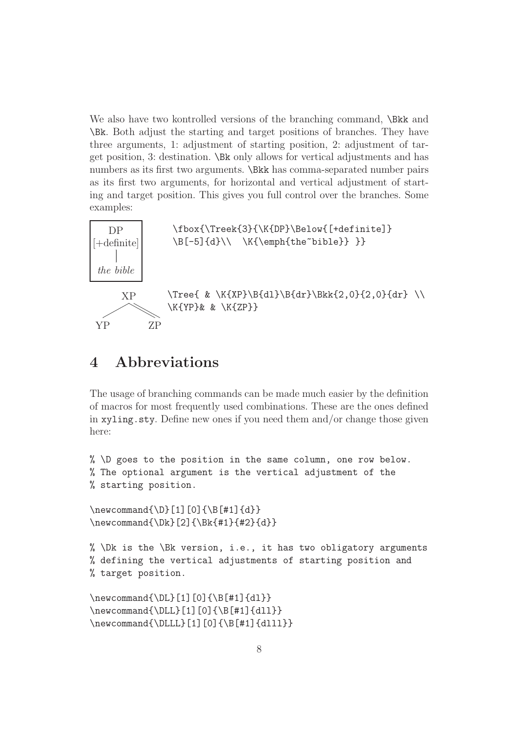We also have two kontrolled versions of the branching command,  $\Bbb$ kk and \Bk. Both adjust the starting and target positions of branches. They have three arguments, 1: adjustment of starting position, 2: adjustment of target position, 3: destination. \Bk only allows for vertical adjustments and has numbers as its first two arguments. \Bkk has comma-separated number pairs as its first two arguments, for horizontal and vertical adjustment of starting and target position. This gives you full control over the branches. Some examples:



# 4 Abbreviations

YP ZP

The usage of branching commands can be made much easier by the definition of macros for most frequently used combinations. These are the ones defined in  $xyling.sty$ . Define new ones if you need them and/or change those given here:

```
% \D goes to the position in the same column, one row below.
% The optional argument is the vertical adjustment of the
% starting position.
```

```
\newcommand{\D}[1][0]{\Bbb{1}[0]{\Bbb{1}}\newcommand{\Dk}[2]{\Bk{#1}{#2}{d}}
```

```
% \Delta \Dk is the \Deltak version, i.e., it has two obligatory arguments
% defining the vertical adjustments of starting position and
% target position.
```

```
\newcommand{\DL}[1][0]{\B[#1]{dl}}
\newcommand{\DLL}[1][0]{\B[#1]{dll}}
\newcommand{\DLLL}[1][0]{\B[#1]{dlll}}
```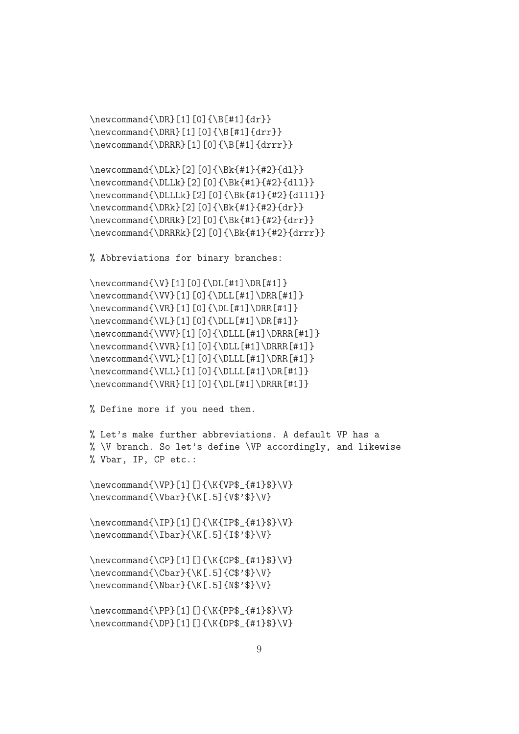$\newcommand{\DR}[1][0]{\Bbb{+1}{dr}}$  $\newcommand{\DRR}{1[0]{\Bbb R}$  \newcommand{\DRR}[1][0]{\B[#1]{drr}} \newcommand{\DRRR}[1][0]{\B[#1]{drrr}}

```
\newcommand{\DLk}[2][0]{\Bk{#1}{#2}{dl}}
\newcommand{\DLLk}[2][0]{\Bk{#1}{#2}{dll}}
\newcommand{\DLLLk}[2][0]{\Bk{#1}{#2}{dlll}}
\newcommand{\DRR}{2|[0]{\delta}\newcommand{\DRRk}[2][0]{\Bk{#1}{#2}{drr}}
\newcommand{\DRRRk}[2][0]{\Bk{#1}{#2}{drrr}}
```
% Abbreviations for binary branches:

```
\newcommand{\V}{i[1][0]{\D}E[#1]\DR[#1]}\newcommand{\VV}[1][0]{\DLL[#1]\DRR[#1]}
\newcommand{\VR}[1][0]{\DL[#1]\DRR[#1]}\newcommand{\VL}[1][0]{\DLL[#1]\DR[#1]}
\newcommand{\VVV}[1][0]{\DLLL[#1]\DRRR[#1]}
\newcommand{\VVR}[1][0]{\DLL[#1]\DRRR[#1]}
\newcommand{\VVL}[1][0]{\DLLL[#1]\DRR[#1]}
\newcommand{\VLL}[1][0]{\DLLL[#1]\DR[#1]}
\newcommand{\VRR}[1][0]{\DL[#1]\DRRR[#1]}
```
% Define more if you need them.

```
% Let's make further abbreviations. A default VP has a
% \V branch. So let's define \VP accordingly, and likewise
% Vbar, IP, CP etc.:
```

```
\newcommand{\VP}[1][]{\K{VP$_{#1}$}\V}
\newcommand{\Vbar}{\K[.5]{V$'$}\V}
```
\newcommand{\IP}[1][]{\K{IP\$\_{#1}\$}\V}  $\newcommand{\\I{N[.5]{If$'}\V}$ 

 $\newcommand{\CPP}{11}[1]{\kappa*}$  \newcommand{\CP}[1][]{\K{CP\$ {#1}\$}\V} \newcommand{\Cbar}{\K[.5]{C\$'\$}\V} \newcommand{\Nbar}{\K[.5]{N\$'\$}\V}

```
\newcommand{\PP}[1][]{\K{PP$_{#1}$}\V}
\newcommand{\DP}[1][]{\K{DP$_{#1}$}\V}
```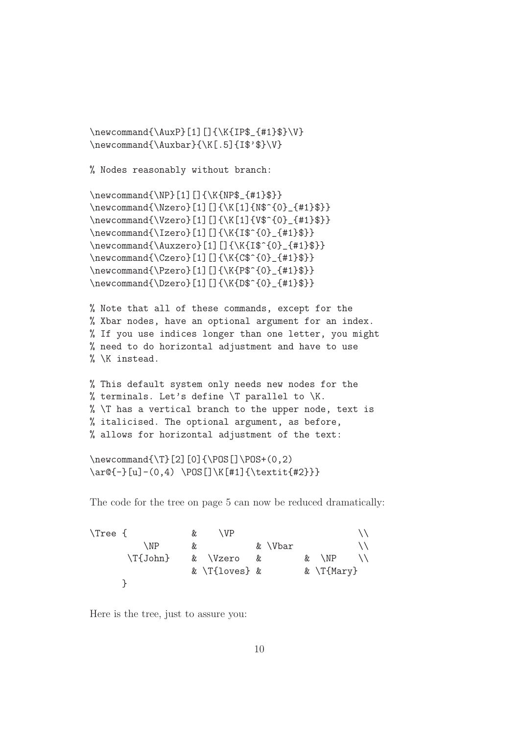```
\newcommand{\AuxP}[1][]{\K{IP$_{#1}$}\V}
\newcommand{\Auxbar}{\K[.5]{I$'$}\V}
```
% Nodes reasonably without branch:

```
\newcommand{\NP}[1][]{\K{NP$_{#1}$}}
\newcommand{\Nzero}[1][]{\K[1]{N$^{0}_{#1}$}}
\newcommand{\Vzero}[1][]{\K[1]{V$^{0}_{#1}$}}
\newcommand{\Izero}[1][]{\K{I$^{0}_{#1}$}}
\newcommand{\Auxzero}[1][]{\K{I$^{0}_{#1}$}}
\newcommand{\Czero}[1][]{\K{C$^{0}_{#1}$}}
\newcommand{\Pzero}[1][]{\K{P$^{0}_{#1}$}}
\newcommand{\Dzero}[1][]{\K{D$^{0}_{#1}$}}
```

```
% Note that all of these commands, except for the
% Xbar nodes, have an optional argument for an index.
% If you use indices longer than one letter, you might
% need to do horizontal adjustment and have to use
% \K instead.
```

```
% This default system only needs new nodes for the
% terminals. Let's define \T parallel to \K.
% \T has a vertical branch to the upper node, text is
% italicised. The optional argument, as before,
% allows for horizontal adjustment of the text:
```

```
\newcommand{\T}[2][0]{\POS[]\PPS+(0,2)\ar@{-}[u]-(0,4) \POS[]\K[#1]{\text{#2}}
```
The code for the tree on page 5 can now be reduced dramatically:

| \Tree { |                   | &   | \ VP                |         |              |  |
|---------|-------------------|-----|---------------------|---------|--------------|--|
|         | \NP               | &c. |                     | & \Vbar |              |  |
|         | $\Upsilon$ {John} |     | & \Vzero            |         | \NP<br>&     |  |
|         |                   |     | $& \{T\}$ oves} $&$ |         | & $\T{Mary}$ |  |
|         |                   |     |                     |         |              |  |

Here is the tree, just to assure you: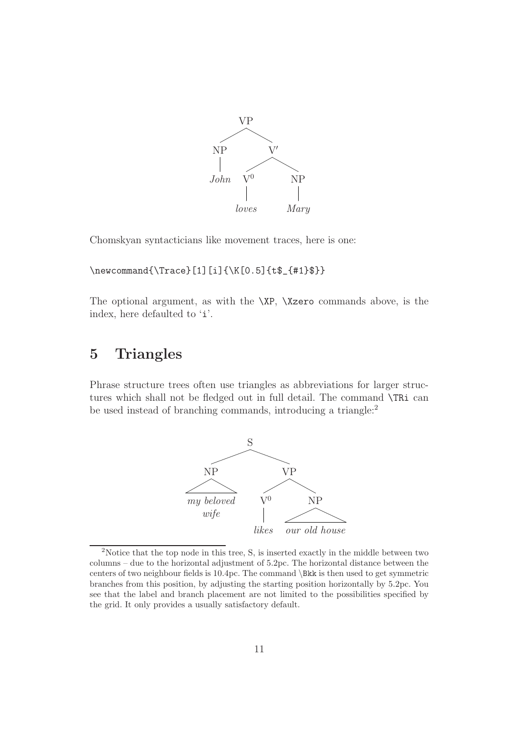

Chomskyan syntacticians like movement traces, here is one:

\newcommand{\Trace}[1][i]{\K[0.5]{t\$\_{#1}\$}}

The optional argument, as with the \XP, \Xzero commands above, is the index, here defaulted to 'i'.

### 5 Triangles

Phrase structure trees often use triangles as abbreviations for larger structures which shall not be fledged out in full detail. The command \TRi can be used instead of branching commands, introducing a triangle:<sup>2</sup>



<sup>&</sup>lt;sup>2</sup>Notice that the top node in this tree, S, is inserted exactly in the middle between two columns – due to the horizontal adjustment of 5.2pc. The horizontal distance between the centers of two neighbour fields is 10.4pc. The command \Bkk is then used to get symmetric branches from this position, by adjusting the starting position horizontally by 5.2pc. You see that the label and branch placement are not limited to the possibilities specified by the grid. It only provides a usually satisfactory default.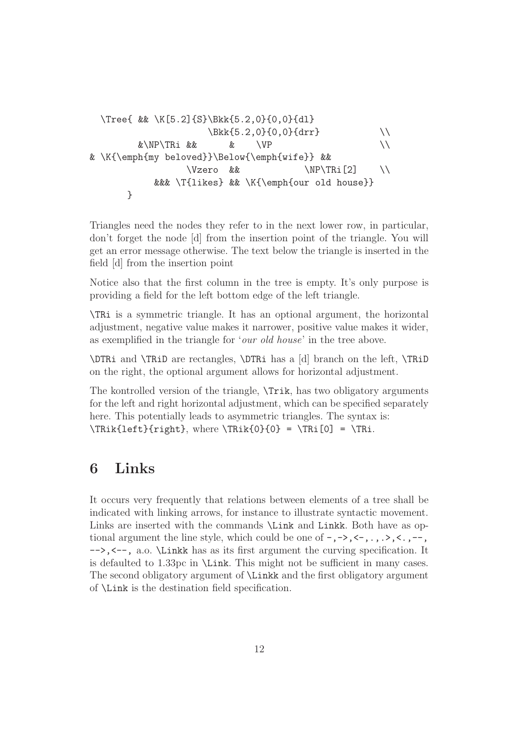```
\Tree{ && \K[5.2]{S}\Bkk{5.2,0}{0,0}{dl}
                  \Bbb{kk}{5.2,0}{0,0}{drr} \setminus&\NP\TRi && & \VP \\
& \K{\emph{my beloved}}\Below{\emph{wife}} &&
               \\V{zero} & \NP\TRi[2]&&& \T{likes} && \K{\emph{our old house}}
     }
```
Triangles need the nodes they refer to in the next lower row, in particular, don't forget the node [d] from the insertion point of the triangle. You will get an error message otherwise. The text below the triangle is inserted in the field [d] from the insertion point

Notice also that the first column in the tree is empty. It's only purpose is providing a field for the left bottom edge of the left triangle.

\TRi is a symmetric triangle. It has an optional argument, the horizontal adjustment, negative value makes it narrower, positive value makes it wider, as exemplified in the triangle for 'our old house' in the tree above.

\DTRi and \TRiD are rectangles, \DTRi has a [d] branch on the left, \TRiD on the right, the optional argument allows for horizontal adjustment.

The kontrolled version of the triangle, \Trik, has two obligatory arguments for the left and right horizontal adjustment, which can be specified separately here. This potentially leads to asymmetric triangles. The syntax is:  $\TRik{left}{right}, where \TRik{0} = \TRi[0] = \TRi.$ 

### 6 Links

It occurs very frequently that relations between elements of a tree shall be indicated with linking arrows, for instance to illustrate syntactic movement. Links are inserted with the commands  $\text{Link}$  and Linkk. Both have as optional argument the line style, which could be one of  $-$ ,  $-$ >,  $\lt$   $-$ ,  $\ldots$ ,  $\lt$ ,  $\ldots$ ,  $\lt$ ,  $\ldots$ , -->,<--, a.o. \Linkk has as its first argument the curving specification. It is defaulted to 1.33pc in \Link. This might not be sufficient in many cases. The second obligatory argument of \Linkk and the first obligatory argument of \Link is the destination field specification.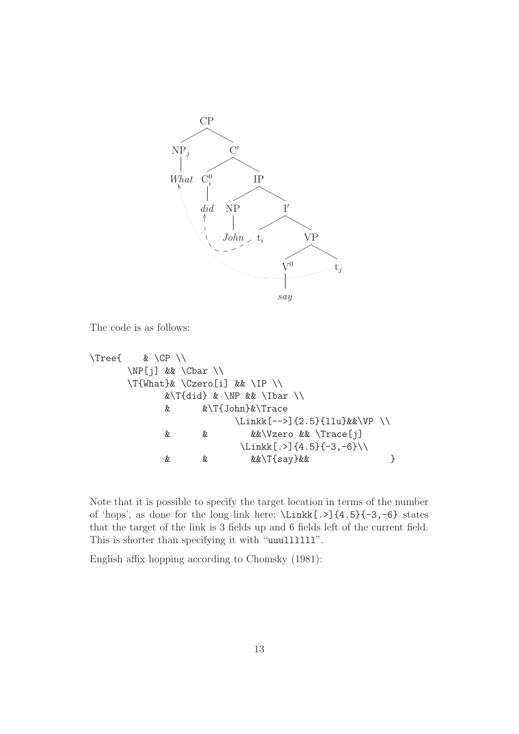

The code is as follows:

```
\Tree{ & \CP \\
     \NP[j] && \Cbar \\
     \T{What}& \Czero[i] && \IP \\
           &\T{did} & \NP && \Ibar \\
           & &\T{John}&\Trace
                      \Linkk[-->]{2.5}{llu}&&\VP \\
           & & &&\Vzero && \Trace[j]
                       \Linkk[.>]{4.5}{-3,-6}\\
           & & &&\T{say}&& }
```
Note that it is possible to specify the target location in terms of the number of 'hops', as done for the long link here:  $\Linkk[. >]$ {4.5}{-3,-6} states that the target of the link is 3 fields up and 6 fields left of the current field. This is shorter than specifying it with "uuulllllll".

English affix hopping according to Chomsky (1981):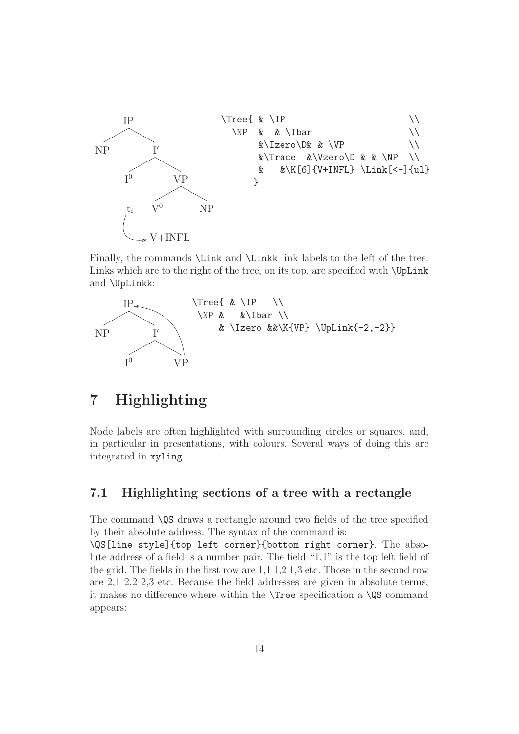

Finally, the commands \Link and \Linkk link labels to the left of the tree. Links which are to the right of the tree, on its top, are specified with \UpLink and \UpLinkk:



### 7 Highlighting

Node labels are often highlighted with surrounding circles or squares, and, in particular in presentations, with colours. Several ways of doing this are integrated in xyling.

### 7.1 Highlighting sections of a tree with a rectangle

The command \QS draws a rectangle around two fields of the tree specified by their absolute address. The syntax of the command is:

\QS[line style]{top left corner}{bottom right corner}. The absolute address of a field is a number pair. The field "1,1" is the top left field of the grid. The fields in the first row are 1,1 1,2 1,3 etc. Those in the second row are 2,1 2,2 2,3 etc. Because the field addresses are given in absolute terms, it makes no difference where within the \Tree specification a \QS command appears: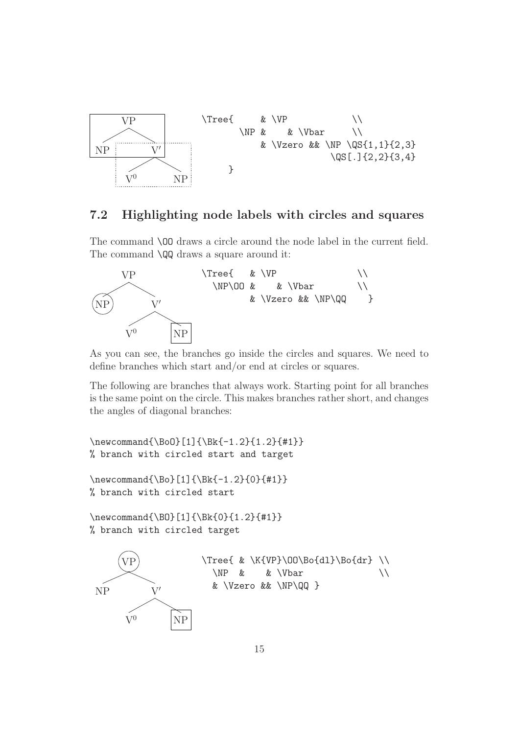

#### 7.2 Highlighting node labels with circles and squares

The command \OO draws a circle around the node label in the current field. The command **\QQ** draws a square around it:



As you can see, the branches go inside the circles and squares. We need to define branches which start and/or end at circles or squares.

The following are branches that always work. Starting point for all branches is the same point on the circle. This makes branches rather short, and changes the angles of diagonal branches:

\newcommand{\BoO}[1]{\Bk{-1.2}{1.2}{#1}} % branch with circled start and target

```
\newcommand{\Bo}[1]{\Bk{-1.2}{0}{#1}}
% branch with circled start
```
\newcommand{\BO}[1]{\Bk{0}{1.2}{#1}} % branch with circled target

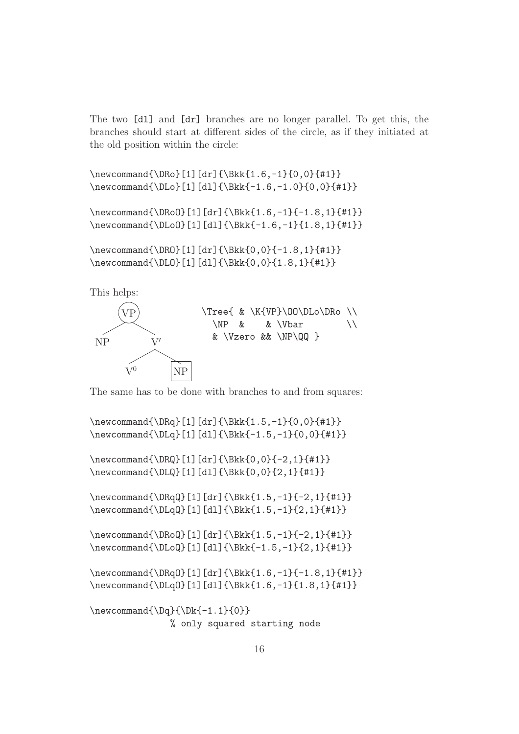The two [dl] and [dr] branches are no longer parallel. To get this, the branches should start at different sides of the circle, as if they initiated at the old position within the circle:

\newcommand{\DRo}[1][dr]{\Bkk{1.6,-1}{0,0}{#1}} \newcommand{\DLo}[1][dl]{\Bkk{-1.6,-1.0}{0,0}{#1}}

\newcommand{\DRoO}[1][dr]{\Bkk{1.6,-1}{-1.8,1}{#1}} \newcommand{\DLoO}[1][dl]{\Bkk{-1.6,-1}{1.8,1}{#1}}

\newcommand{\DRO}[1][dr]{\Bkk{0,0}{-1.8,1}{#1}} \newcommand{\DLO}[1][dl]{\Bkk{0,0}{1.8,1}{#1}}

This helps:



The same has to be done with branches to and from squares:

\newcommand{\DRq}[1][dr]{\Bkk{1.5,-1}{0,0}{#1}} \newcommand{\DLq}[1][dl]{\Bkk{-1.5,-1}{0,0}{#1}}

\newcommand{\DRQ}[1][dr]{\Bkk{0,0}{-2,1}{#1}} \newcommand{\DLQ}[1][dl]{\Bkk{0,0}{2,1}{#1}}

\newcommand{\DRqQ}[1][dr]{\Bkk{1.5,-1}{-2,1}{#1}} \newcommand{\DLqQ}[1][dl]{\Bkk{1.5,-1}{2,1}{#1}}

\newcommand{\DRoQ}[1][dr]{\Bkk{1.5,-1}{-2,1}{#1}} \newcommand{\DLoQ}[1][dl]{\Bkk{-1.5,-1}{2,1}{#1}}

```
\newcommand{\DRqO}[1][dr]{\Bkk{1.6,-1}{-1.8,1}{#1}}
\newcommand{\DLqO}[1][dl]{\Bkk{1.6,-1}{1.8,1}{#1}}
```

```
\newcommand{\Dq}{\Dg}{\Dk{-1.1}{0}}% only squared starting node
```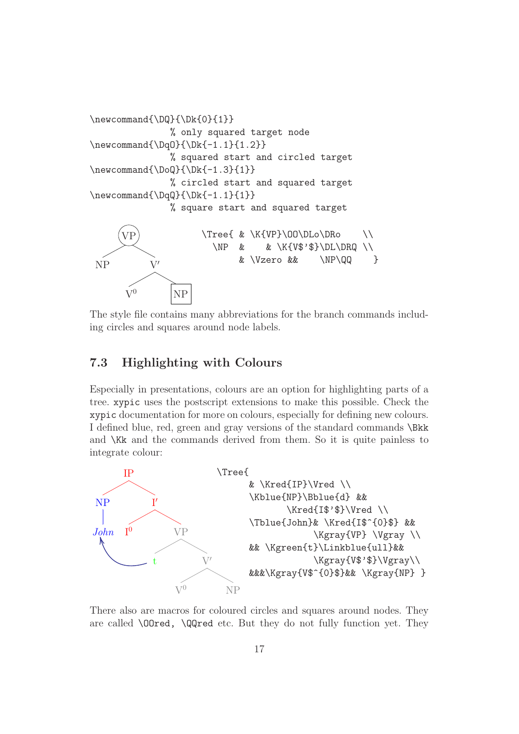

The style file contains many abbreviations for the branch commands including circles and squares around node labels.

### 7.3 Highlighting with Colours

Especially in presentations, colours are an option for highlighting parts of a tree. xypic uses the postscript extensions to make this possible. Check the xypic documentation for more on colours, especially for defining new colours. I defined blue, red, green and gray versions of the standard commands \Bkk and \Kk and the commands derived from them. So it is quite painless to integrate colour:



There also are macros for coloured circles and squares around nodes. They are called \OOred, \QQred etc. But they do not fully function yet. They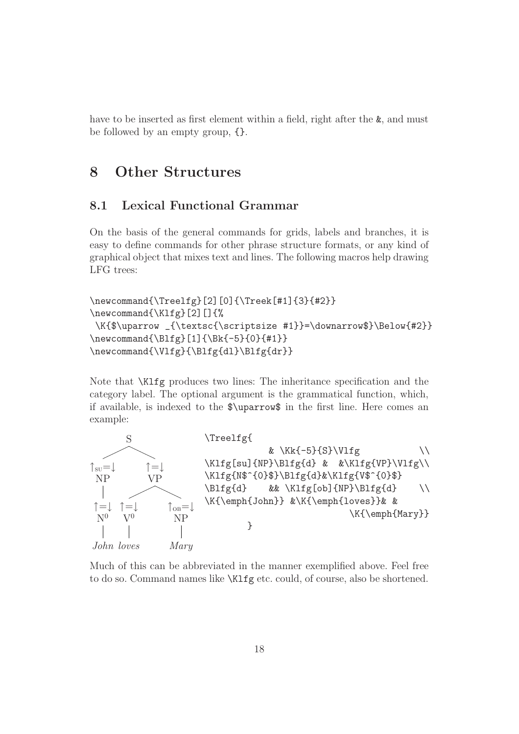have to be inserted as first element within a field, right after the  $\&$ , and must be followed by an empty group, {}.

# 8 Other Structures

#### 8.1 Lexical Functional Grammar

On the basis of the general commands for grids, labels and branches, it is easy to define commands for other phrase structure formats, or any kind of graphical object that mixes text and lines. The following macros help drawing LFG trees:

```
\newcommand{\Treelfg}[2][0]{\Treek[#1]{3}{#2}}
\newcommand{\Klfg}[2][]{%
\K{$\uparrow _{\textsc{\scriptsize #1}}=\downarrow$}\Below{#2}}
\newcommand{\Blfg}[1]{\Bk{-5}{0}{#1}}
\newcommand{\Vlfg}{\Blfg{dl}\Blfg{dr}}
```
Note that \Klfg produces two lines: The inheritance specification and the category label. The optional argument is the grammatical function, which, if available, is indexed to the \$\uparrow\$ in the first line. Here comes an example:



Much of this can be abbreviated in the manner exemplified above. Feel free to do so. Command names like \Klfg etc. could, of course, also be shortened.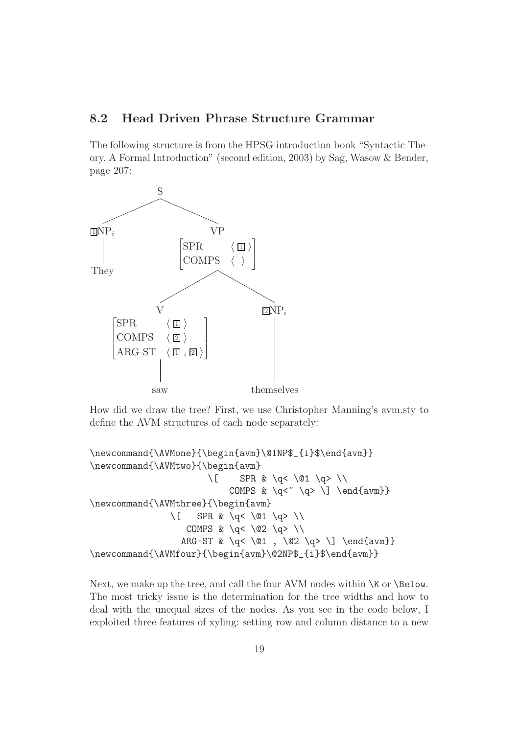#### 8.2 Head Driven Phrase Structure Grammar

The following structure is from the HPSG introduction book "Syntactic Theory. A Formal Introduction" (second edition, 2003) by Sag, Wasow & Bender, page 207:



How did we draw the tree? First, we use Christopher Manning's avm.sty to define the AVM structures of each node separately:

```
\newcommand{\AVMone}{\begin{avm}\@1NP$_{i}$\end{avm}}
\newcommand{\AVMtwo}{\begin{avm}
                             \setminus[ SPR & \setminusq< \setminus@1 \setminusq> \setminusCOMPS & \qquad \qquad \qquad \\newcommand{\AVMthree}{\begin{avm}
                   \setminus[ SPR & \setminusq< \setminus@1 \setminusq> \setminusCOMPS & \qquad \qquad \leq \leq \qquad \leq \ \leqARG-ST & \q< \@1 , \@2 \q> \] \end{avm}}
\newcommand{\AVMfour}{\begin{avm}\@2NP$_{i}$\end{avm}}
```
Next, we make up the tree, and call the four AVM nodes within  $\overline{X}$  or  $\Delta$ The most tricky issue is the determination for the tree widths and how to deal with the unequal sizes of the nodes. As you see in the code below, I exploited three features of xyling: setting row and column distance to a new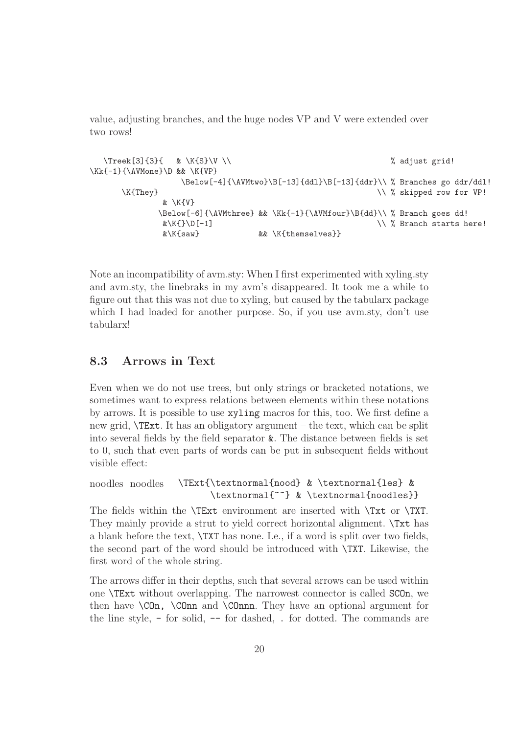value, adjusting branches, and the huge nodes VP and V were extended over two rows!

```
\{3\}{3}{ & \K{S}\V \\ \% adjust grid!
\Kk{-1}{\AVMone}\D && \K{VP}
             \Below[-4]{\AVMtwo}\B[-13]{ddl}\B[-13]{ddr}\\ % Branches go ddr/ddl!
    \K{They}& \K{V}
         \Below[-6]{\AVMthree} && \Kk{-1}{\AVMfour}\B{dd}\\ % Branch goes dd!
          \&\X\{\}\D[-1] \vee\% Branch starts here!
          &\K{saw} && \K{themselves}}
```
Note an incompatibility of avm.sty: When I first experimented with xyling.sty and avm.sty, the linebraks in my avm's disappeared. It took me a while to figure out that this was not due to xyling, but caused by the tabularx package which I had loaded for another purpose. So, if you use avm.sty, don't use tabularx!

### 8.3 Arrows in Text

Even when we do not use trees, but only strings or bracketed notations, we sometimes want to express relations between elements within these notations by arrows. It is possible to use xyling macros for this, too. We first define a new grid, \TExt. It has an obligatory argument – the text, which can be split into several fields by the field separator &. The distance between fields is set to 0, such that even parts of words can be put in subsequent fields without visible effect:

```
noodles noodles \TExt{\textnormal{nood} & \textnormal{les} &
                      \textnormal{~~} & \textnormal{noodles}}
```
The fields within the \TExt environment are inserted with \Txt or \TXT. They mainly provide a strut to yield correct horizontal alignment. \Txt has a blank before the text, \TXT has none. I.e., if a word is split over two fields, the second part of the word should be introduced with \TXT. Likewise, the first word of the whole string.

The arrows differ in their depths, such that several arrows can be used within one \TExt without overlapping. The narrowest connector is called SCOn, we then have \COn, \COnn and \COnnn. They have an optional argument for the line style, - for solid, -- for dashed, . for dotted. The commands are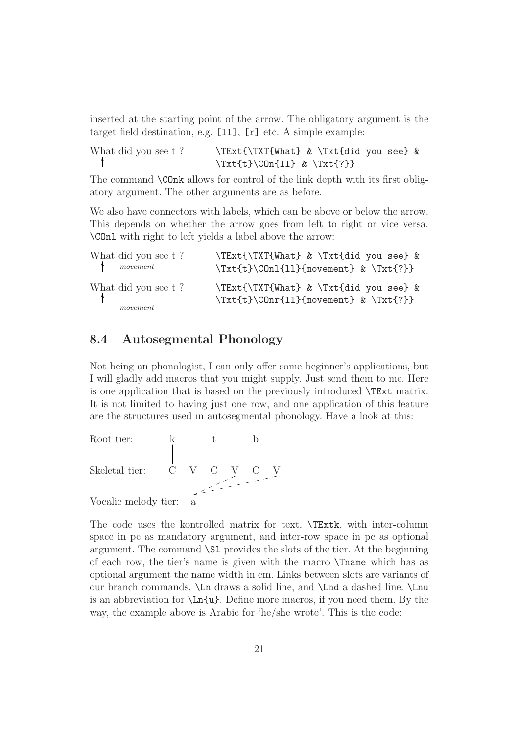inserted at the starting point of the arrow. The obligatory argument is the target field destination, e.g.  $[11]$ ,  $[r]$  etc. A simple example:

| What did you see t? | \TExt{\TXT{What} & \Txt{did you see} &   |
|---------------------|------------------------------------------|
|                     | $\{\text{t}\}(COn{11} \& \{\text{?}\}\)$ |

The command \COnk allows for control of the link depth with its first obligatory argument. The other arguments are as before.

We also have connectors with labels, which can be above or below the arrow. This depends on whether the arrow goes from left to right or vice versa. \COnl with right to left yields a label above the arrow:

| What did you see t?<br>$\uparrow$ movement $\upharpoonright$ | \TExt{\TXT{What} & \Txt{did you see} &<br>$\Trt{t}\C0n1{11}{movement} & \Trt{?}$ |
|--------------------------------------------------------------|----------------------------------------------------------------------------------|
| What did you see t?                                          | \TExt{\TXT{What} & \Txt{did you see} &                                           |
| movement                                                     | $\text{t}\C0nr{11}$ (movement) & $\text{?}}$                                     |

#### 8.4 Autosegmental Phonology

Not being an phonologist, I can only offer some beginner's applications, but I will gladly add macros that you might supply. Just send them to me. Here is one application that is based on the previously introduced \TExt matrix. It is not limited to having just one row, and one application of this feature are the structures used in autosegmental phonology. Have a look at this:

Root tier: 
$$
\begin{array}{ccc} k & t & b \\ \begin{array}{ccc} \end{array} & \begin{array}{ccc} \end{array} & \begin{array}{ccc} \end{array} & \begin{array}{ccc} \end{array} & \begin{array}{ccc} \end{array} & \begin{array}{ccc} \end{array} & \begin{array}{ccc} \end{array} & \begin{array}{ccc} \end{array} & \begin{array}{ccc} \end{array} & \begin{array}{ccc} \end{array} & \begin{array}{ccc} \end{array} & \begin{array}{ccc} \end{array} & \begin{array}{ccc} \end{array} & \begin{array}{ccc} \end{array} & \begin{array}{ccc} \end{array} & \begin{array}{ccc} \end{array} & \begin{array}{ccc} \end{array} & \begin{array}{ccc} \end{array} & \begin{array}{ccc} \end{array} & \begin{array}{ccc} \end{array} & \begin{array}{ccc} \end{array} & \begin{array}{ccc} \end{array} & \begin{array}{ccc} \end{array} & \begin{array}{ccc} \end{array} & \begin{array}{ccc} \end{array} & \begin{array}{ccc} \end{array} & \begin{array}{ccc} \end{array} & \begin{array}{ccc} \end{array} & \begin{array}{ccc} \end{array} & \begin{array}{ccc} \end{array} & \begin{array}{ccc} \end{array} & \begin{array}{ccc} \end{array} & \begin{array}{ccc} \end{array} & \begin{array}{ccc} \end{array} & \begin{array}{ccc} \end{array} & \begin{array}{ccc} \end{array} & \begin{array}{ccc} \end{array} & \begin{array}{ccc} \end{array} & \begin{array}{ccc} \end{array} & \begin{array}{ccc} \end{array} & \begin{array}{ccc} \end{array} & \begin{array}{ccc} \end{array} & \begin{array}{ccc} \end{array} & \begin{array}{ccc} \end{array} & \begin{array}{ccc} \end{array} & \begin{array}{ccc} \end{array} & \begin{array}{ccc} \end{array} & \begin{array}{ccc} \end{array} & \begin{array}{ccc} \end{array} & \begin{array}{ccc} \end{array} & \begin{array}{ccc} \end{array} & \begin{array}{ccc} \end{array} & \begin{array}{ccc} \end{array} & \begin{array}{ccc} \end{array} & \begin{array}{ccc} \end{array} & \begin{array}{ccc} \end{array} & \begin{array}{ccc} \end{array} & \begin{array}{ccc
$$

Vocalic melody tier: a

The code uses the kontrolled matrix for text, \TExtk, with inter-column space in pc as mandatory argument, and inter-row space in pc as optional argument. The command \Sl provides the slots of the tier. At the beginning of each row, the tier's name is given with the macro \Tname which has as optional argument the name width in cm. Links between slots are variants of our branch commands, \Ln draws a solid line, and \Lnd a dashed line. \Lnu is an abbreviation for  $\Ln{u}$ . Define more macros, if you need them. By the way, the example above is Arabic for 'he/she wrote'. This is the code: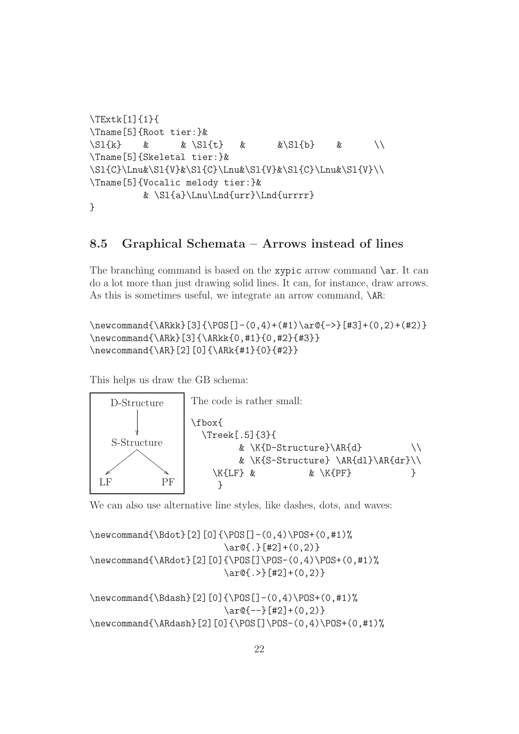```
\TExtk[1]{1}{
\Tname[5]{Root tier:}&
\S1\{k\} & \S1\{t\} & \S1\{b\} & \setminus\Tname[5]{Skeletal tier:}&
\Sl{C}\Lnu&\Sl{V}&\Sl{C}\Lnu&\Sl{V}&\Sl{C}\Lnu&\Sl{V}\\
\Tname[5]{Vocalic melody tier:}&
         & \Sl{a}\Lnu\Lnd{urr}\Lnd{urrrr}
```

```
}
```
#### 8.5 Graphical Schemata – Arrows instead of lines

The branching command is based on the xypic arrow command  $\arctan$ . It can do a lot more than just drawing solid lines. It can, for instance, draw arrows. As this is sometimes useful, we integrate an arrow command,  $\mathcal{A}R$ :

```
\newcommand{\ARkk}[3]{\POS[]-(0,4)+(#1)\ar@{->}[#3]+(0,2)+(#2)}
\newcommand{\ARk}[3]{\ARkk{0,#1}{0,#2}{#3}}
\newcommand{\AR}[2][0]{\ARk{#1}{0}{#2}}
```
This helps us draw the GB schema:



We can also use alternative line styles, like dashes, dots, and waves:

\newcommand{\Bdot}[2][0]{\POS[]-(0,4)\POS+(0,#1)%  $\ar@{$ . }[#2] + (0,2) } \newcommand{\ARdot}[2][0]{\POS[]\POS-(0,4)\POS+(0,#1)%  $\ar@{.}$   $[#2] + (0,2)$ 

\newcommand{\Bdash}[2][0]{\POS[]-(0,4)\POS+(0,#1)%  $\ar@{-}-\$ [#2]+(0,2)} \newcommand{\ARdash}[2][0]{\POS[]\POS-(0,4)\POS+(0,#1)%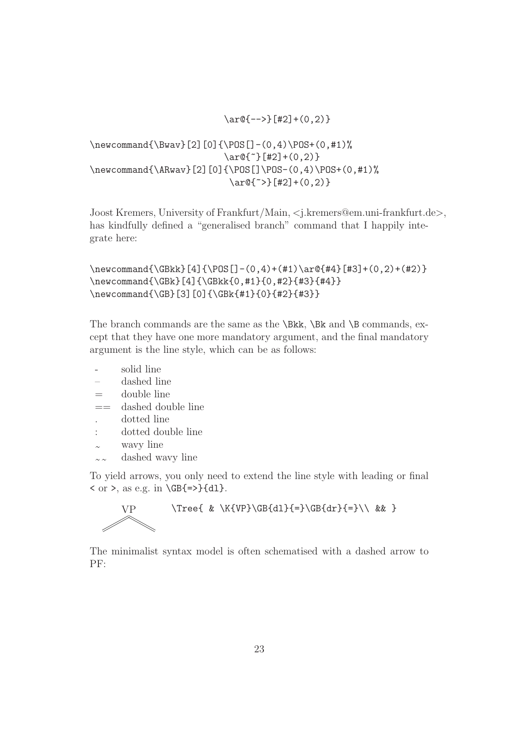$\ar@{-->}[$ [#2]+(0,2)}

```
\newcommand{\Bwav}[2][0]{\POS[]-(0,4)\POS+(0,#1)%
                         \ar@{^*}[#2]+(0,2)\newcommand{\ARwav}[2][0]{\POS[]\POS-(0,4)\POS+(0,#1)%
                          \ar@{^*}\[#2]+(0,2)\}
```
Joost Kremers, University of Frankfurt/Main, <j.kremers@em.uni-frankfurt.de>, has kindfully defined a "generalised branch" command that I happily integrate here:

```
\neq 2 + (\neq 0,4) + (41) \ar@{44}[43] + (0,2) + (42)\newcommand{\GBk}[4]{\GBkk{0,#1}{0,#2}{#3}{#4}}
\newcommand{\GB}[3][0]{\GBk{#1}{0}{#2}{#3}}
```
The branch commands are the same as the  $\Bbb{R}k$ ,  $\Bbb{R}k$  and  $\Bbb{R}$  commands, except that they have one more mandatory argument, and the final mandatory argument is the line style, which can be as follows:

- solid line
- dashed line
- $=$  double line
- $==$  dashed double line
- . dotted line
- : dotted double line
- wavy line
- $\sim \infty$  dashed wavy line

To yield arrows, you only need to extend the line style with leading or final  $\langle$  or  $\rangle$ , as e.g. in  $\langle$ GB{=>}{d1}.



 $VP$  \Tree{ & \K{VP}\GB{dl}{=}\GB{dr}{=}\\ && }

The minimalist syntax model is often schematised with a dashed arrow to PF: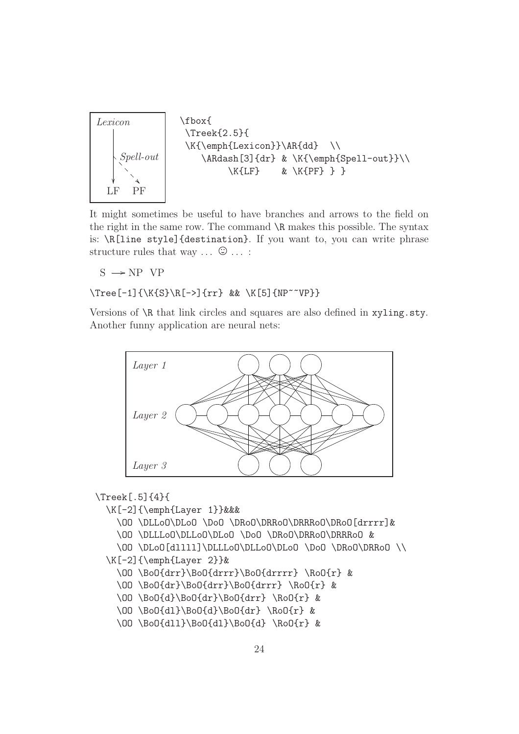

It might sometimes be useful to have branches and arrows to the field on the right in the same row. The command \R makes this possible. The syntax is: \R[line style]{destination}. If you want to, you can write phrase structure rules that way  $\ldots$   $\odot$   $\ldots$  :

 $S \rightarrow NP VP$ 

#### \Tree[-1]{\K{S}\R[->]{rr} && \K[5]{NP~~VP}}

Versions of \R that link circles and squares are also defined in xyling.sty. Another funny application are neural nets:



#### \Treek[.5]{4}{

- \K[-2]{\emph{Layer 1}}&&&
	- \OO \DLLoO\DLoO \DoO \DRoO\DRRoO\DRRRoO\DRoO[drrrr]&
	- \OO \DLLLoO\DLLoO\DLoO \DoO \DRoO\DRRoO\DRRRoO &

```
\OO \DLoO[dllll]\DLLLoO\DLLoO\DLoO \DoO \DRoO\DRRoO \\
\K[-2]{\emph{Layer 2}}&
```

```
\OO \BoO{drr}\BoO{drrr}\BoO{drrrr} \RoO{r} &
```

```
\OO \BoO{dr}\BoO{drr}\BoO{drrr} \RoO{r} &
```

```
\OO \BoO{d}\BoO{dr}\BoO{drr} \RoO{r} &
```
\OO \BoO{dl}\BoO{d}\BoO{dr} \RoO{r} &

```
\OO \BoO{dll}\BoO{dl}\BoO{d} \RoO{r} &
```